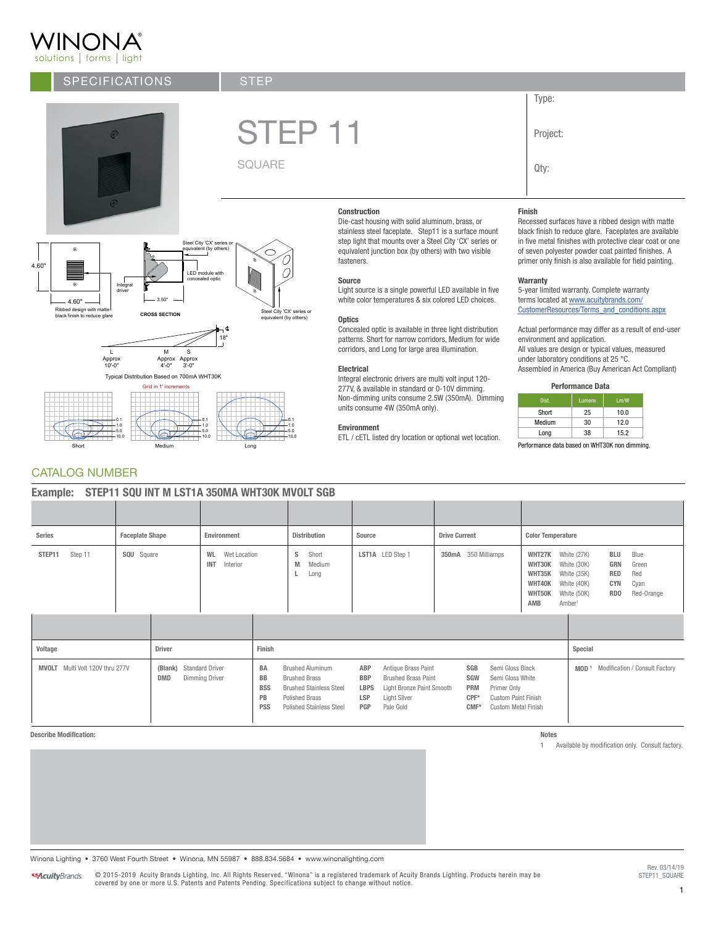## WINONA® solutions | forms | light

# SPECIFICATIONS



®

®

Integral driver

A GO" **A Ribbed design with matter and CITY CIT**<br>
Ribbed design with matter<br>
black finish to reduce glare **CROSS SECTION** Steel City 'CX' series or

3.50"

LED module with concealed optic

Steel City 'CX' series or equivalent (by others)

M Approx 4'-0" Approx 3'-0" S

Short **Medium** Medium **Long** 

Grid in 1' incr Typical Distribution Based on 700mA WHT30K

> 0.1 1.0 5.0 10.0

 $4.60"$  $\begin{array}{|c|c|c|c|c|}\hline \cdots & \cdots & \cdots \\\hline \end{array}$ 

4.60"

4.60"

CATALOG NUMBER

0.1 1.0 5.0 10.0

L Approx 10'-0"



solutions forms light

K - 50  $\cap$  $\cup$  1  $\cap$  $\cup$  -

> 0.1 1.0 5.0 10.0

**STEP** 

K - 25

18"

equivalent (by others) **CROSS SECTION**

GREEN RGB: R - 109 G - 157 - 49

#### Construction

**Construction**<br>Die-cast housing with solid aluminum, brass, or stainless steel faceplate. Step11 is a surface mount step light that mounts over a Steel City 'CX' series or fasteners. equivalent junction box (by others) with two visible

### Source

Light source is a single powerful LED available in five white color temperatures & six colored LED choices.

#### **Optics**

Concealed optic is available in three light distribution patterns. Short for narrow corridors, Medium for wide corridors, and Long for large area illumination.

#### Electrical

Integral electronic drivers are multi volt input 120- 277V, & available in standard or 0-10V dimming. Non-dimming units consume 2.5W (350mA). Dimming units consume 4W (350mA only).

#### Environment

ETL / cETL listed dry location or optional wet location.

### Finish

Project:

Type:

Qty:

Recessed surfaces have a ribbed design with matte black finish to reduce glare. Faceplates are available in five metal finishes with protective clear coat or one of seven polyester powder coat painted finishes. A primer only finish is also available for field painting.

#### **Warranty**

5-year limited warranty. Complete warranty terms located at [www.acuitybrands.com/](http://www.acuitybrands.com/CustomerResources/Terms_and_conditions.aspx) [CustomerResources/Terms\\_and\\_conditions.aspx](http://www.acuitybrands.com/CustomerResources/Terms_and_conditions.aspx)

Actual performance may differ as a result of end-user environment and application.

All values are design or typical values, measured under laboratory conditions at 25 °C. Assembled in America (Buy American Act Compliant)

#### Performance Data

| Dist.  | Lumens | 1 <sub>m</sub> /W |
|--------|--------|-------------------|
| Short  | 25     | 10.0              |
| Medium | 30     | 12.0              |
| Long   | 38     | 15.2              |

Performance data based on WHT30K non dimming.

| Example: STEP11 SQU INT M LST1A 350MA WHT30K MVOLT SGB |                                       |                                       |                                                     |                                                          |                                                                                                                                               |        |                                                |                                                                                                             |  |                                                      |                                                                                                                 |                                                       |                                                                                               |  |                                                           |                                            |
|--------------------------------------------------------|---------------------------------------|---------------------------------------|-----------------------------------------------------|----------------------------------------------------------|-----------------------------------------------------------------------------------------------------------------------------------------------|--------|------------------------------------------------|-------------------------------------------------------------------------------------------------------------|--|------------------------------------------------------|-----------------------------------------------------------------------------------------------------------------|-------------------------------------------------------|-----------------------------------------------------------------------------------------------|--|-----------------------------------------------------------|--------------------------------------------|
|                                                        |                                       |                                       |                                                     |                                                          |                                                                                                                                               |        |                                                |                                                                                                             |  |                                                      |                                                                                                                 |                                                       |                                                                                               |  |                                                           |                                            |
| Series                                                 | <b>Faceplate Shape</b><br>Environment |                                       |                                                     | <b>Distribution</b>                                      |                                                                                                                                               | Source |                                                | <b>Drive Current</b>                                                                                        |  | <b>Color Temperature</b>                             |                                                                                                                 |                                                       |                                                                                               |  |                                                           |                                            |
| STEP11<br>Step 11                                      | <b>SQU</b> Square                     |                                       | Wet Location<br><b>WL</b><br><b>INT</b><br>Interior | Short<br>s<br>M<br>Medium<br>Long                        |                                                                                                                                               |        |                                                | LST1A LED Step 1                                                                                            |  | 350mA 350 Milliamps                                  |                                                                                                                 | WHT27K<br>WHT30K<br>WHT35K<br>WHT40K<br>WHT50K<br>AMB | White (27K)<br>White (30K)<br>White (35K)<br>White (40K)<br>White (50K)<br>Amber <sup>1</sup> |  | BLU<br>GRN<br><b>RED</b><br><b>CYN</b><br>RD <sub>0</sub> | Blue<br>Green<br>Red<br>Cyan<br>Red-Orange |
|                                                        |                                       |                                       |                                                     |                                                          |                                                                                                                                               |        |                                                |                                                                                                             |  |                                                      |                                                                                                                 |                                                       |                                                                                               |  |                                                           |                                            |
| Voltage                                                |                                       | <b>Driver</b>                         |                                                     | Finish                                                   |                                                                                                                                               |        |                                                |                                                                                                             |  |                                                      |                                                                                                                 |                                                       | Special                                                                                       |  |                                                           |                                            |
| <b>MVOLT</b> Multi Volt 120V thru 277V                 |                                       | (Blank) Standard Driver<br><b>DMD</b> | Dimming Driver                                      | <b>BA</b><br><b>BB</b><br><b>BSS</b><br>PB<br><b>PSS</b> | <b>Brushed Aluminum</b><br><b>Brushed Brass</b><br><b>Brushed Stainless Steel</b><br><b>Polished Brass</b><br><b>Polished Stainless Steel</b> |        | ABP<br><b>BBP</b><br><b>LBPS</b><br>LSP<br>PGP | Antique Brass Paint<br><b>Brushed Brass Paint</b><br>Light Bronze Paint Smooth<br>Light Silver<br>Pale Gold |  | SGB<br><b>SGW</b><br><b>PRM</b><br>$CPF*$<br>$CMF^*$ | Semi Gloss Black<br>Semi Gloss White<br>Primer Only<br><b>Custom Paint Finish</b><br><b>Custom Metal Finish</b> |                                                       | MOD <sup>1</sup>                                                                              |  |                                                           | Modification / Consult Factory             |

#### Describe Modification:

Notes 1 Available by modification only. Consult factory.

Winona Lighting • 3760 West Fourth Street • Winona, MN 55987 • 888.834.5684 • [www.winonalighting.com](http://www.winonalighting.com)

© 2015-2019 Acuity Brands Lighting, Inc. All Rights Reserved. "Winona" is a registered trademark of Acuity Brands Lighting. Products herein may be strem and be strem in STEP11\_SQUARE<br>covered by one or more U.S. Patents and

Rev. 03/14/19<br>STEP11\_SQUARE

1